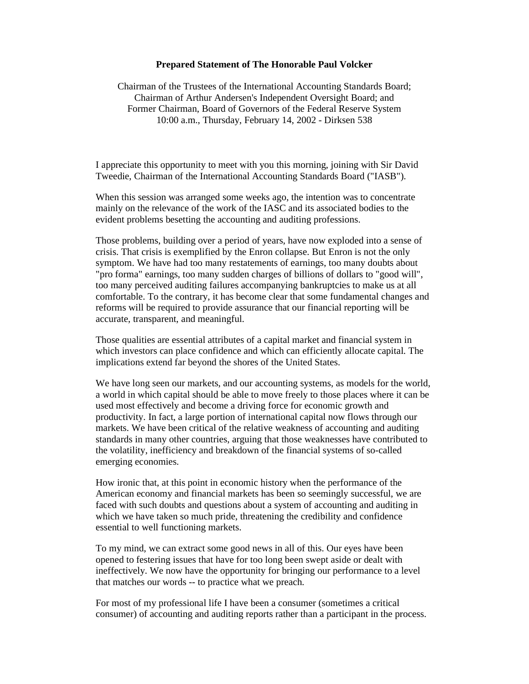#### **Prepared Statement of The Honorable Paul Volcker**

Chairman of the Trustees of the International Accounting Standards Board; Chairman of Arthur Andersen's Independent Oversight Board; and Former Chairman, Board of Governors of the Federal Reserve System 10:00 a.m., Thursday, February 14, 2002 - Dirksen 538

I appreciate this opportunity to meet with you this morning, joining with Sir David Tweedie, Chairman of the International Accounting Standards Board ("IASB").

When this session was arranged some weeks ago, the intention was to concentrate mainly on the relevance of the work of the IASC and its associated bodies to the evident problems besetting the accounting and auditing professions.

Those problems, building over a period of years, have now exploded into a sense of crisis. That crisis is exemplified by the Enron collapse. But Enron is not the only symptom. We have had too many restatements of earnings, too many doubts about "pro forma" earnings, too many sudden charges of billions of dollars to "good will", too many perceived auditing failures accompanying bankruptcies to make us at all comfortable. To the contrary, it has become clear that some fundamental changes and reforms will be required to provide assurance that our financial reporting will be accurate, transparent, and meaningful.

Those qualities are essential attributes of a capital market and financial system in which investors can place confidence and which can efficiently allocate capital. The implications extend far beyond the shores of the United States.

We have long seen our markets, and our accounting systems, as models for the world, a world in which capital should be able to move freely to those places where it can be used most effectively and become a driving force for economic growth and productivity. In fact, a large portion of international capital now flows through our markets. We have been critical of the relative weakness of accounting and auditing standards in many other countries, arguing that those weaknesses have contributed to the volatility, inefficiency and breakdown of the financial systems of so-called emerging economies.

How ironic that, at this point in economic history when the performance of the American economy and financial markets has been so seemingly successful, we are faced with such doubts and questions about a system of accounting and auditing in which we have taken so much pride, threatening the credibility and confidence essential to well functioning markets.

To my mind, we can extract some good news in all of this. Our eyes have been opened to festering issues that have for too long been swept aside or dealt with ineffectively. We now have the opportunity for bringing our performance to a level that matches our words -- to practice what we preach.

For most of my professional life I have been a consumer (sometimes a critical consumer) of accounting and auditing reports rather than a participant in the process.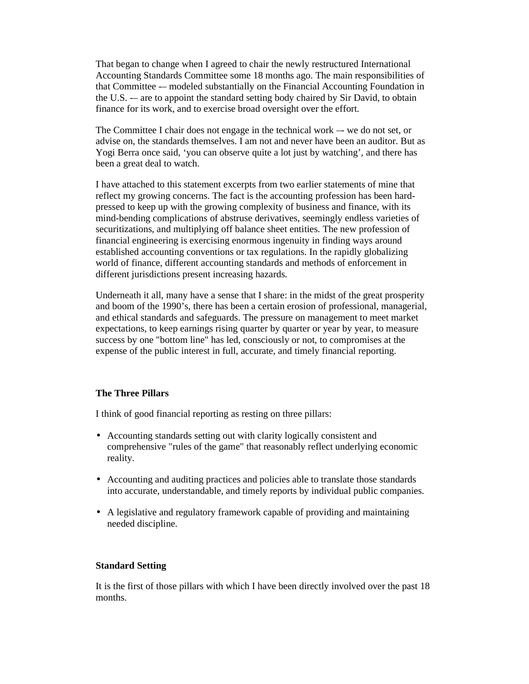That began to change when I agreed to chair the newly restructured International Accounting Standards Committee some 18 months ago. The main responsibilities of that Committee -– modeled substantially on the Financial Accounting Foundation in the U.S. -– are to appoint the standard setting body chaired by Sir David, to obtain finance for its work, and to exercise broad oversight over the effort.

The Committee I chair does not engage in the technical work –- we do not set, or advise on, the standards themselves. I am not and never have been an auditor. But as Yogi Berra once said, 'you can observe quite a lot just by watching', and there has been a great deal to watch.

I have attached to this statement excerpts from two earlier statements of mine that reflect my growing concerns. The fact is the accounting profession has been hardpressed to keep up with the growing complexity of business and finance, with its mind-bending complications of abstruse derivatives, seemingly endless varieties of securitizations, and multiplying off balance sheet entities. The new profession of financial engineering is exercising enormous ingenuity in finding ways around established accounting conventions or tax regulations. In the rapidly globalizing world of finance, different accounting standards and methods of enforcement in different jurisdictions present increasing hazards.

Underneath it all, many have a sense that I share: in the midst of the great prosperity and boom of the 1990's, there has been a certain erosion of professional, managerial, and ethical standards and safeguards. The pressure on management to meet market expectations, to keep earnings rising quarter by quarter or year by year, to measure success by one "bottom line" has led, consciously or not, to compromises at the expense of the public interest in full, accurate, and timely financial reporting.

# **The Three Pillars**

I think of good financial reporting as resting on three pillars:

- Accounting standards setting out with clarity logically consistent and comprehensive "rules of the game" that reasonably reflect underlying economic reality.
- Accounting and auditing practices and policies able to translate those standards into accurate, understandable, and timely reports by individual public companies.
- A legislative and regulatory framework capable of providing and maintaining needed discipline.

### **Standard Setting**

It is the first of those pillars with which I have been directly involved over the past 18 months.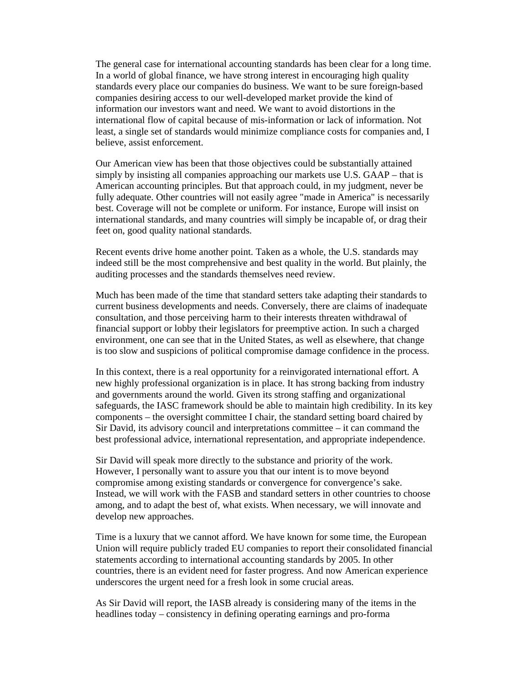The general case for international accounting standards has been clear for a long time. In a world of global finance, we have strong interest in encouraging high quality standards every place our companies do business. We want to be sure foreign-based companies desiring access to our well-developed market provide the kind of information our investors want and need. We want to avoid distortions in the international flow of capital because of mis-information or lack of information. Not least, a single set of standards would minimize compliance costs for companies and, I believe, assist enforcement.

Our American view has been that those objectives could be substantially attained simply by insisting all companies approaching our markets use U.S. GAAP – that is American accounting principles. But that approach could, in my judgment, never be fully adequate. Other countries will not easily agree "made in America" is necessarily best. Coverage will not be complete or uniform. For instance, Europe will insist on international standards, and many countries will simply be incapable of, or drag their feet on, good quality national standards.

Recent events drive home another point. Taken as a whole, the U.S. standards may indeed still be the most comprehensive and best quality in the world. But plainly, the auditing processes and the standards themselves need review.

Much has been made of the time that standard setters take adapting their standards to current business developments and needs. Conversely, there are claims of inadequate consultation, and those perceiving harm to their interests threaten withdrawal of financial support or lobby their legislators for preemptive action. In such a charged environment, one can see that in the United States, as well as elsewhere, that change is too slow and suspicions of political compromise damage confidence in the process.

In this context, there is a real opportunity for a reinvigorated international effort. A new highly professional organization is in place. It has strong backing from industry and governments around the world. Given its strong staffing and organizational safeguards, the IASC framework should be able to maintain high credibility. In its key components – the oversight committee I chair, the standard setting board chaired by Sir David, its advisory council and interpretations committee – it can command the best professional advice, international representation, and appropriate independence.

Sir David will speak more directly to the substance and priority of the work. However, I personally want to assure you that our intent is to move beyond compromise among existing standards or convergence for convergence's sake. Instead, we will work with the FASB and standard setters in other countries to choose among, and to adapt the best of, what exists. When necessary, we will innovate and develop new approaches.

Time is a luxury that we cannot afford. We have known for some time, the European Union will require publicly traded EU companies to report their consolidated financial statements according to international accounting standards by 2005. In other countries, there is an evident need for faster progress. And now American experience underscores the urgent need for a fresh look in some crucial areas.

As Sir David will report, the IASB already is considering many of the items in the headlines today – consistency in defining operating earnings and pro-forma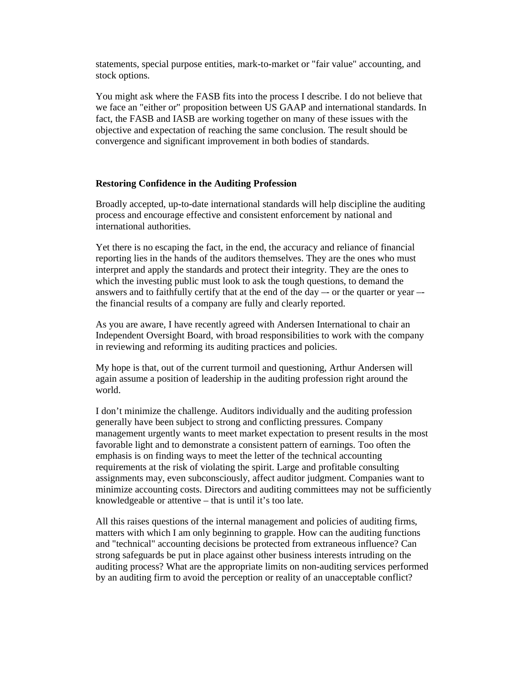statements, special purpose entities, mark-to-market or "fair value" accounting, and stock options.

You might ask where the FASB fits into the process I describe. I do not believe that we face an "either or" proposition between US GAAP and international standards. In fact, the FASB and IASB are working together on many of these issues with the objective and expectation of reaching the same conclusion. The result should be convergence and significant improvement in both bodies of standards.

#### **Restoring Confidence in the Auditing Profession**

Broadly accepted, up-to-date international standards will help discipline the auditing process and encourage effective and consistent enforcement by national and international authorities.

Yet there is no escaping the fact, in the end, the accuracy and reliance of financial reporting lies in the hands of the auditors themselves. They are the ones who must interpret and apply the standards and protect their integrity. They are the ones to which the investing public must look to ask the tough questions, to demand the answers and to faithfully certify that at the end of the day –- or the quarter or year – the financial results of a company are fully and clearly reported.

As you are aware, I have recently agreed with Andersen International to chair an Independent Oversight Board, with broad responsibilities to work with the company in reviewing and reforming its auditing practices and policies.

My hope is that, out of the current turmoil and questioning, Arthur Andersen will again assume a position of leadership in the auditing profession right around the world.

I don't minimize the challenge. Auditors individually and the auditing profession generally have been subject to strong and conflicting pressures. Company management urgently wants to meet market expectation to present results in the most favorable light and to demonstrate a consistent pattern of earnings. Too often the emphasis is on finding ways to meet the letter of the technical accounting requirements at the risk of violating the spirit. Large and profitable consulting assignments may, even subconsciously, affect auditor judgment. Companies want to minimize accounting costs. Directors and auditing committees may not be sufficiently knowledgeable or attentive – that is until it's too late.

All this raises questions of the internal management and policies of auditing firms, matters with which I am only beginning to grapple. How can the auditing functions and "technical" accounting decisions be protected from extraneous influence? Can strong safeguards be put in place against other business interests intruding on the auditing process? What are the appropriate limits on non-auditing services performed by an auditing firm to avoid the perception or reality of an unacceptable conflict?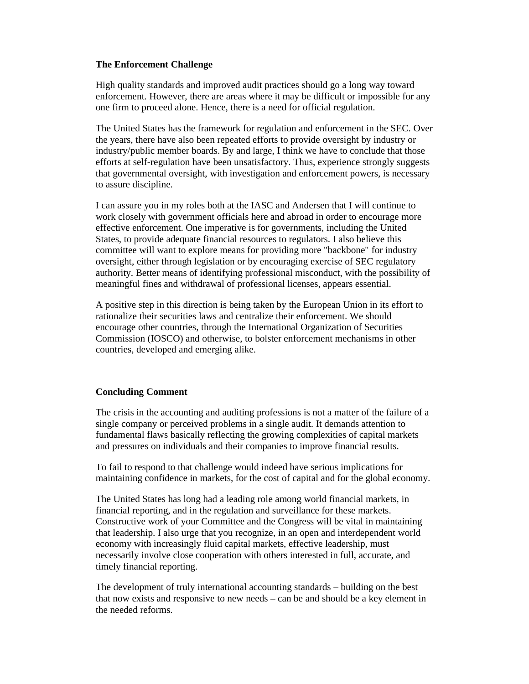## **The Enforcement Challenge**

High quality standards and improved audit practices should go a long way toward enforcement. However, there are areas where it may be difficult or impossible for any one firm to proceed alone. Hence, there is a need for official regulation.

The United States has the framework for regulation and enforcement in the SEC. Over the years, there have also been repeated efforts to provide oversight by industry or industry/public member boards. By and large, I think we have to conclude that those efforts at self-regulation have been unsatisfactory. Thus, experience strongly suggests that governmental oversight, with investigation and enforcement powers, is necessary to assure discipline.

I can assure you in my roles both at the IASC and Andersen that I will continue to work closely with government officials here and abroad in order to encourage more effective enforcement. One imperative is for governments, including the United States, to provide adequate financial resources to regulators. I also believe this committee will want to explore means for providing more "backbone" for industry oversight, either through legislation or by encouraging exercise of SEC regulatory authority. Better means of identifying professional misconduct, with the possibility of meaningful fines and withdrawal of professional licenses, appears essential.

A positive step in this direction is being taken by the European Union in its effort to rationalize their securities laws and centralize their enforcement. We should encourage other countries, through the International Organization of Securities Commission (IOSCO) and otherwise, to bolster enforcement mechanisms in other countries, developed and emerging alike.

# **Concluding Comment**

The crisis in the accounting and auditing professions is not a matter of the failure of a single company or perceived problems in a single audit. It demands attention to fundamental flaws basically reflecting the growing complexities of capital markets and pressures on individuals and their companies to improve financial results.

To fail to respond to that challenge would indeed have serious implications for maintaining confidence in markets, for the cost of capital and for the global economy.

The United States has long had a leading role among world financial markets, in financial reporting, and in the regulation and surveillance for these markets. Constructive work of your Committee and the Congress will be vital in maintaining that leadership. I also urge that you recognize, in an open and interdependent world economy with increasingly fluid capital markets, effective leadership, must necessarily involve close cooperation with others interested in full, accurate, and timely financial reporting.

The development of truly international accounting standards – building on the best that now exists and responsive to new needs – can be and should be a key element in the needed reforms.